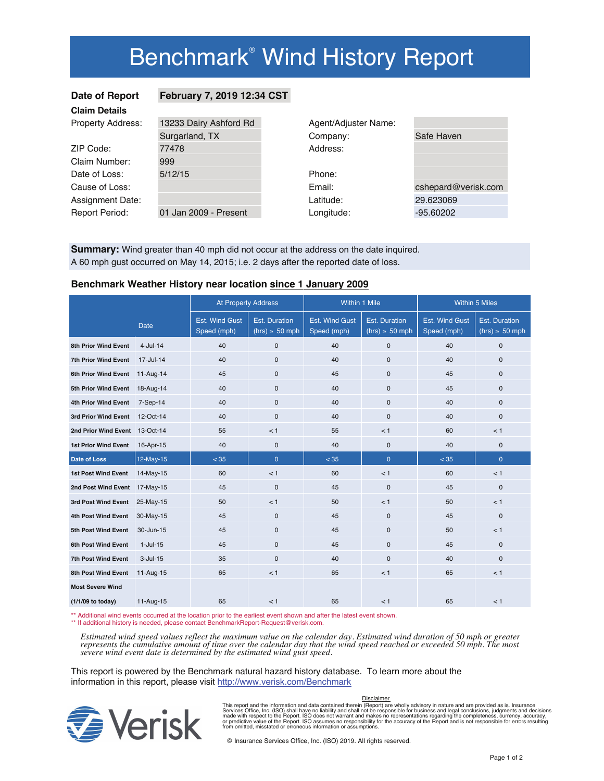# Benchmark<sup>®</sup> Wind History Report

## **Claim Details**

## **Date of Report February 7, 2019 12:34 CST**

| Viann Detans             |                        |                      |                     |
|--------------------------|------------------------|----------------------|---------------------|
| <b>Property Address:</b> | 13233 Dairy Ashford Rd | Agent/Adjuster Name: |                     |
|                          | Surgarland, TX         | Company:             | Safe Haven          |
| ZIP Code:                | 77478                  | Address:             |                     |
| Claim Number:            | 999                    |                      |                     |
| Date of Loss:            | 5/12/15                | Phone:               |                     |
| Cause of Loss:           |                        | Email:               | cshepard@verisk.com |
| <b>Assignment Date:</b>  |                        | Latitude:            | 29.623069           |
| <b>Report Period:</b>    | 01 Jan 2009 - Present  | Longitude:           | $-95.60202$         |
|                          |                        |                      |                     |

**Summary:** Wind greater than 40 mph did not occur at the address on the date inquired. A 60 mph gust occurred on May 14, 2015; i.e. 2 days after the reported date of loss.

### **Benchmark Weather History near location since 1 January 2009**

|                         |             | <b>At Property Address</b>           |                                             | Within 1 Mile                        |                                             | <b>Within 5 Miles</b>                |                                             |
|-------------------------|-------------|--------------------------------------|---------------------------------------------|--------------------------------------|---------------------------------------------|--------------------------------------|---------------------------------------------|
|                         | <b>Date</b> | <b>Est. Wind Gust</b><br>Speed (mph) | <b>Est. Duration</b><br>$(hrs) \geq 50$ mph | <b>Est. Wind Gust</b><br>Speed (mph) | <b>Est. Duration</b><br>$(hrs) \geq 50$ mph | <b>Est. Wind Gust</b><br>Speed (mph) | <b>Est. Duration</b><br>$(hrs) \geq 50$ mph |
| 8th Prior Wind Event    | $4$ -Jul-14 | 40                                   | $\mathbf{0}$                                | 40                                   | 0                                           | 40                                   | 0                                           |
| 7th Prior Wind Event    | 17-Jul-14   | 40                                   | $\mathbf{0}$                                | 40                                   | $\mathbf{0}$                                | 40                                   | $\mathbf{0}$                                |
| 6th Prior Wind Event    | 11-Aug-14   | 45                                   | $\mathbf{0}$                                | 45                                   | $\mathbf{0}$                                | 45                                   | 0                                           |
| 5th Prior Wind Event    | 18-Aug-14   | 40                                   | $\mathbf{0}$                                | 40                                   | 0                                           | 45                                   | 0                                           |
| 4th Prior Wind Event    | 7-Sep-14    | 40                                   | $\mathbf{0}$                                | 40                                   | 0                                           | 40                                   | 0                                           |
| 3rd Prior Wind Event    | 12-Oct-14   | 40                                   | $\Omega$                                    | 40                                   | $\mathbf{0}$                                | 40                                   | $\mathbf{0}$                                |
| 2nd Prior Wind Event    | 13-Oct-14   | 55                                   | < 1                                         | 55                                   | < 1                                         | 60                                   | < 1                                         |
| 1st Prior Wind Event    | 16-Apr-15   | 40                                   | $\mathbf{0}$                                | 40                                   | 0                                           | 40                                   | 0                                           |
| <b>Date of Loss</b>     | 12-May-15   | < 35                                 | $\overline{0}$                              | < 35                                 | $\overline{0}$                              | < 35                                 | $\overline{0}$                              |
| 1st Post Wind Event     | 14-May-15   | 60                                   | < 1                                         | 60                                   | < 1                                         | 60                                   | < 1                                         |
| 2nd Post Wind Event     | 17-May-15   | 45                                   | $\mathbf{0}$                                | 45                                   | $\mathbf{0}$                                | 45                                   | $\mathbf{0}$                                |
| 3rd Post Wind Event     | 25-May-15   | 50                                   | < 1                                         | 50                                   | < 1                                         | 50                                   | < 1                                         |
| 4th Post Wind Event     | 30-May-15   | 45                                   | $\Omega$                                    | 45                                   | 0                                           | 45                                   | 0                                           |
| 5th Post Wind Event     | 30-Jun-15   | 45                                   | $\mathbf{0}$                                | 45                                   | $\mathbf{0}$                                | 50                                   | < 1                                         |
| 6th Post Wind Event     | $1-Jul-15$  | 45                                   | $\mathbf 0$                                 | 45                                   | 0                                           | 45                                   | 0                                           |
| 7th Post Wind Event     | $3$ -Jul-15 | 35                                   | $\Omega$                                    | 40                                   | $\mathbf{0}$                                | 40                                   | $\mathbf{0}$                                |
| 8th Post Wind Event     | 11-Aug-15   | 65                                   | < 1                                         | 65                                   | < 1                                         | 65                                   | < 1                                         |
| <b>Most Severe Wind</b> |             |                                      |                                             |                                      |                                             |                                      |                                             |
| (1/1/09 to today)       | 11-Aug-15   | 65                                   | < 1                                         | 65                                   | < 1                                         | 65                                   | < 1                                         |

\*\* Additional wind events occurred at the location prior to the earliest event shown and after the latest event shown.

\*\* If additional history is needed, please contact BenchmarkReport-Request@verisk.com.

*Estimated wind speed values reflect the maximum value on the calendar day. Estimated wind duration of 50 mph or greater represents the cumulative amount of time over the calendar day that the wind speed reached or exceeded 50 mph. The most severe wind event date is determined by the estimated wind gust speed.*

This report is powered by the Benchmark natural hazard history database. To learn more about the information in this report, please visit http://www.verisk.com/Benchmark



## This report and the information and data contained therein (Report) are wholly advisory in nature and are provided as is. Insurance<br>Services Office, Inc. (ISO) shall have no liability and shall not be responsible for busin Disclaimer